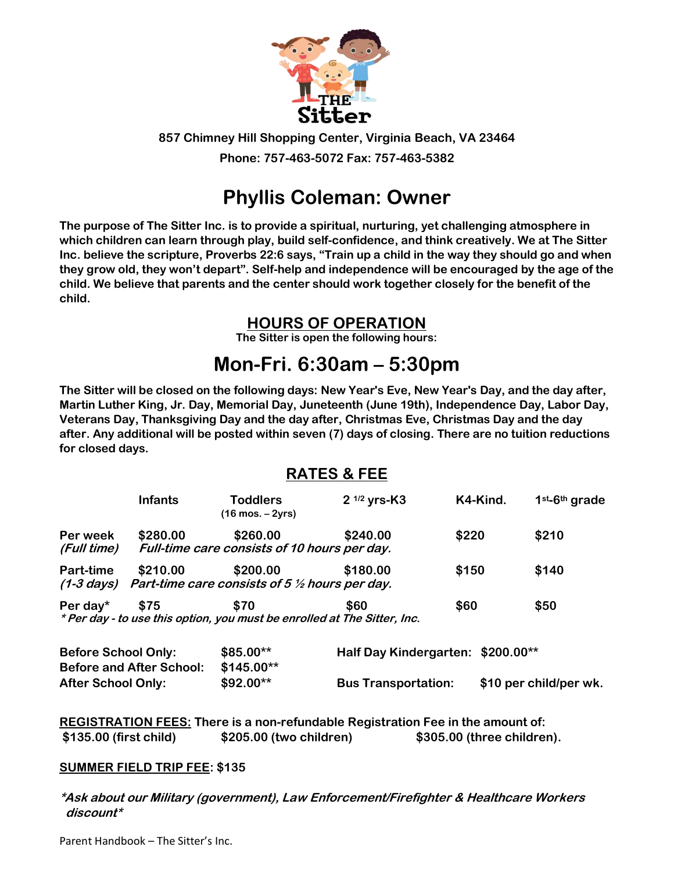

**857 Chimney Hill Shopping Center, Virginia Beach, VA 23464**

**Phone: 757-463-5072 Fax: 757-463-5382**

# **Phyllis Coleman: Owner**

**The purpose of The Sitter Inc. is to provide a spiritual, nurturing, yet challenging atmosphere in which children can learn through play, build self-confidence, and think creatively. We at The Sitter Inc. believe the scripture, Proverbs 22:6 says, "Train up a child in the way they should go and when they grow old, they won't depart". Self-help and independence will be encouraged by the age of the child. We believe that parents and the center should work together closely for the benefit of the child.**

## **HOURS OF OPERATION**

**The Sitter is open the following hours:**

# **Mon-Fri. 6:30am – 5:30pm**

**The Sitter will be closed on the following days: New Year's Eve, New Year's Day, and the day after, Martin Luther King, Jr. Day, Memorial Day, Juneteenth (June 19th), Independence Day, Labor Day, Veterans Day, Thanksgiving Day and the day after, Christmas Eve, Christmas Day and the day after. Any additional will be posted within seven (7) days of closing. There are no tuition reductions for closed days.**

## **RATES & FEE**

|                         | <b>Infants</b> | <b>Toddlers</b><br>$(16 \text{ mos.} - 2\text{vrs})$                             | $2^{1/2}$ yrs-K3 | K4-Kind. | $1st$ -6 <sup>th</sup> grade |
|-------------------------|----------------|----------------------------------------------------------------------------------|------------------|----------|------------------------------|
| Per week<br>(Full time) | \$280.00       | \$260.00<br>Full-time care consists of 10 hours per day.                         | \$240.00         | \$220    | \$210                        |
| <b>Part-time</b>        | \$210.00       | \$200.00<br>(1-3 days) Part-time care consists of 5 $\frac{1}{2}$ hours per day. | \$180.00         | \$150    | \$140                        |
| Per day $*$             | \$75           | \$70<br>* Per day - to use this option, you must be enrolled at The Sitter, Inc. | \$60             | \$60     | \$50                         |

| <b>Before School Only:</b>      | $$85.00**$  | Half Day Kindergarten: \$200.00** |                        |
|---------------------------------|-------------|-----------------------------------|------------------------|
| <b>Before and After School:</b> | $$145.00**$ |                                   |                        |
| <b>After School Only:</b>       | $$92.00**$  | <b>Bus Transportation:</b>        | \$10 per child/per wk. |

**REGISTRATION FEES: There is a non-refundable Registration Fee in the amount of: \$135.00 (first child) \$205.00 (two children) \$305.00 (three children).**

## **SUMMER FIELD TRIP FEE: \$135**

**\*Ask about our Military (government), Law Enforcement/Firefighter & Healthcare Workers discount\***

Parent Handbook – The Sitter's Inc.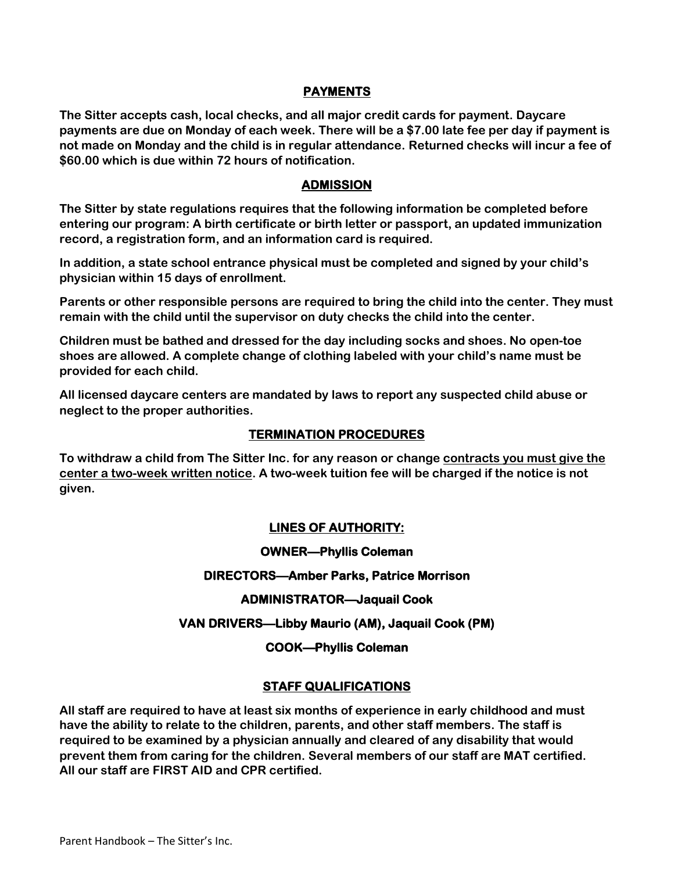### **PAYMENTS**

**The Sitter accepts cash, local checks, and all major credit cards for payment. Daycare payments are due on Monday of each week. There will be a \$7.00 late fee per day if payment is not made on Monday and the child is in regular attendance. Returned checks will incur a fee of \$60.00 which is due within 72 hours of notification.**

#### **ADMISSION**

**The Sitter by state regulations requires that the following information be completed before entering our program: A birth certificate or birth letter or passport, an updated immunization record, a registration form, and an information card is required.**

**In addition, a state school entrance physical must be completed and signed by your child's physician within 15 days of enrollment.**

**Parents or other responsible persons are required to bring the child into the center. They must remain with the child until the supervisor on duty checks the child into the center.**

**Children must be bathed and dressed for the day including socks and shoes. No open-toe shoes are allowed. A complete change of clothing labeled with your child's name must be provided for each child.**

**All licensed daycare centers are mandated by laws to report any suspected child abuse or neglect to the proper authorities.**

#### **TERMINATION PROCEDURES**

**To withdraw a child from The Sitter Inc. for any reason or change contracts you must give the center a two-week written notice. A two-week tuition fee will be charged if the notice is not given.**

#### **LINES OF AUTHORITY:**

**OWNER—Phyllis Coleman** 

#### **DIRECTORS—Amber Parks, Patrice Morrison**

#### **ADMINISTRATOR—Jaquail Cook**

#### **VAN DRIVERS—Libby Maurio (AM), Jaquail Cook (PM)**

#### **COOK—Phyllis Coleman**

#### **STAFF QUALIFICATIONS**

**All staff are required to have at least six months of experience in early childhood and must have the ability to relate to the children, parents, and other staff members. The staff is required to be examined by a physician annually and cleared of any disability that would prevent them from caring for the children. Several members of our staff are MAT certified. All our staff are FIRST AID and CPR certified.**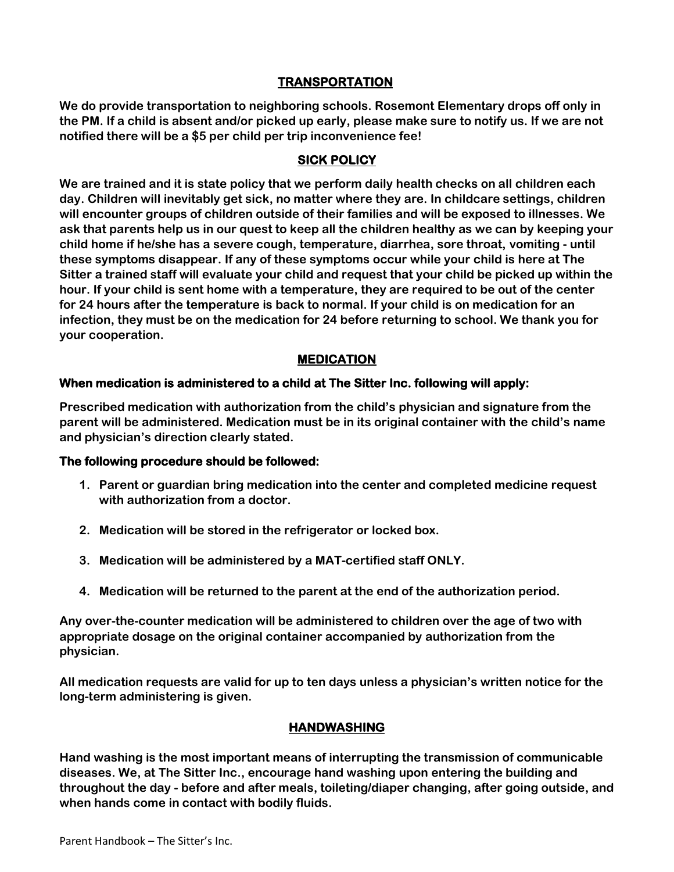## **TRANSPORTATION**

**We do provide transportation to neighboring schools. Rosemont Elementary drops off only in the PM. If a child is absent and/or picked up early, please make sure to notify us. If we are not notified there will be a \$5 per child per trip inconvenience fee!**

#### **SICK POLICY**

**We are trained and it is state policy that we perform daily health checks on all children each day. Children will inevitably get sick, no matter where they are. In childcare settings, children will encounter groups of children outside of their families and will be exposed to illnesses. We ask that parents help us in our quest to keep all the children healthy as we can by keeping your child home if he/she has a severe cough, temperature, diarrhea, sore throat, vomiting - until these symptoms disappear. If any of these symptoms occur while your child is here at The Sitter a trained staff will evaluate your child and request that your child be picked up within the hour. If your child is sent home with a temperature, they are required to be out of the center for 24 hours after the temperature is back to normal. If your child is on medication for an infection, they must be on the medication for 24 before returning to school. We thank you for your cooperation.**

## **MEDICATION**

#### **When medication is administered to a child at The Sitter Inc. following will apply:**

**Prescribed medication with authorization from the child's physician and signature from the parent will be administered. Medication must be in its original container with the child's name and physician's direction clearly stated.**

#### **The following procedure should be followed:**

- **1. Parent or guardian bring medication into the center and completed medicine request with authorization from a doctor.**
- **2. Medication will be stored in the refrigerator or locked box.**
- **3. Medication will be administered by a MAT-certified staff ONLY.**
- **4. Medication will be returned to the parent at the end of the authorization period.**

**Any over-the-counter medication will be administered to children over the age of two with appropriate dosage on the original container accompanied by authorization from the physician.**

**All medication requests are valid for up to ten days unless a physician's written notice for the long-term administering is given.**

#### **HANDWASHING**

**Hand washing is the most important means of interrupting the transmission of communicable diseases. We, at The Sitter Inc., encourage hand washing upon entering the building and throughout the day - before and after meals, toileting/diaper changing, after going outside, and when hands come in contact with bodily fluids.**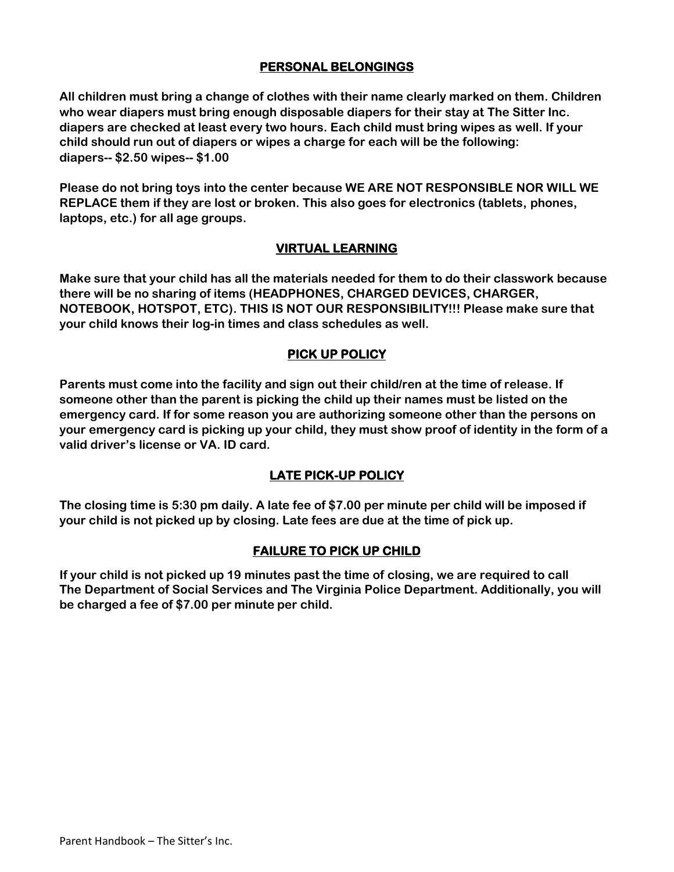## **PERSONAL BELONGINGS**

**All children must bring a change of clothes with their name clearly marked on them. Children who wear diapers must bring enough disposable diapers for their stay at The Sitter Inc. diapers are checked at least every two hours. Each child must bring wipes as well. If your child should run out of diapers or wipes a charge for each will be the following: diapers-- \$2.50 wipes-- \$1.00**

**Please do not bring toys into the center because WE ARE NOT RESPONSIBLE NOR WILL WE REPLACE them if they are lost or broken. This also goes for electronics (tablets, phones, laptops, etc.) for all age groups.** 

## **VIRTUAL LEARNING**

**Make sure that your child has all the materials needed for them to do their classwork because there will be no sharing of items (HEADPHONES, CHARGED DEVICES, CHARGER, NOTEBOOK, HOTSPOT, ETC). THIS IS NOT OUR RESPONSIBILITY!!! Please make sure that your child knows their log-in times and class schedules as well.**

## **PICK UP POLICY**

**Parents must come into the facility and sign out their child/ren at the time of release. If someone other than the parent is picking the child up their names must be listed on the emergency card. If for some reason you are authorizing someone other than the persons on your emergency card is picking up your child, they must show proof of identity in the form of a valid driver's license or VA. ID card.**

## **LATE PICK-UP POLICY**

**The closing time is 5:30 pm daily. A late fee of \$7.00 per minute per child will be imposed if your child is not picked up by closing. Late fees are due at the time of pick up.**

## **FAILURE TO PICK UP CHILD**

**If your child is not picked up 19 minutes past the time of closing, we are required to call The Department of Social Services and The Virginia Police Department. Additionally, you will be charged a fee of \$7.00 per minute per child.**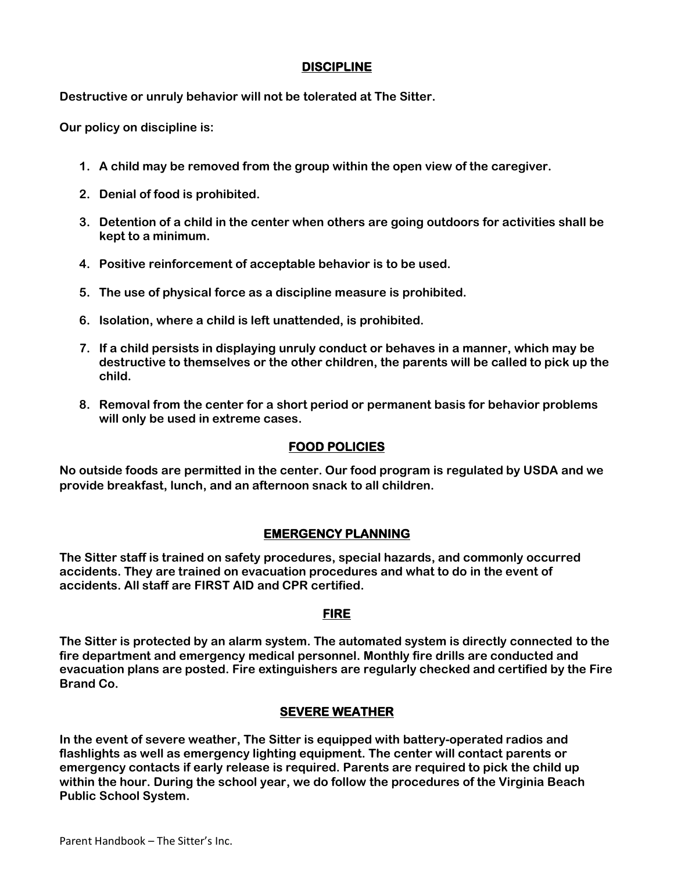## **DISCIPLINE**

**Destructive or unruly behavior will not be tolerated at The Sitter.**

**Our policy on discipline is:**

- **1. A child may be removed from the group within the open view of the caregiver.**
- **2. Denial of food is prohibited.**
- **3. Detention of a child in the center when others are going outdoors for activities shall be kept to a minimum.**
- **4. Positive reinforcement of acceptable behavior is to be used.**
- **5. The use of physical force as a discipline measure is prohibited.**
- **6. Isolation, where a child is left unattended, is prohibited.**
- **7. If a child persists in displaying unruly conduct or behaves in a manner, which may be destructive to themselves or the other children, the parents will be called to pick up the child.**
- **8. Removal from the center for a short period or permanent basis for behavior problems will only be used in extreme cases.**

## **FOOD POLICIES**

**No outside foods are permitted in the center. Our food program is regulated by USDA and we provide breakfast, lunch, and an afternoon snack to all children.**

## **EMERGENCY PLANNING**

**The Sitter staff is trained on safety procedures, special hazards, and commonly occurred accidents. They are trained on evacuation procedures and what to do in the event of accidents. All staff are FIRST AID and CPR certified.**

## **FIRE**

**The Sitter is protected by an alarm system. The automated system is directly connected to the fire department and emergency medical personnel. Monthly fire drills are conducted and evacuation plans are posted. Fire extinguishers are regularly checked and certified by the Fire Brand Co.**

## **SEVERE WEATHER**

**In the event of severe weather, The Sitter is equipped with battery-operated radios and flashlights as well as emergency lighting equipment. The center will contact parents or emergency contacts if early release is required. Parents are required to pick the child up within the hour. During the school year, we do follow the procedures of the Virginia Beach Public School System.**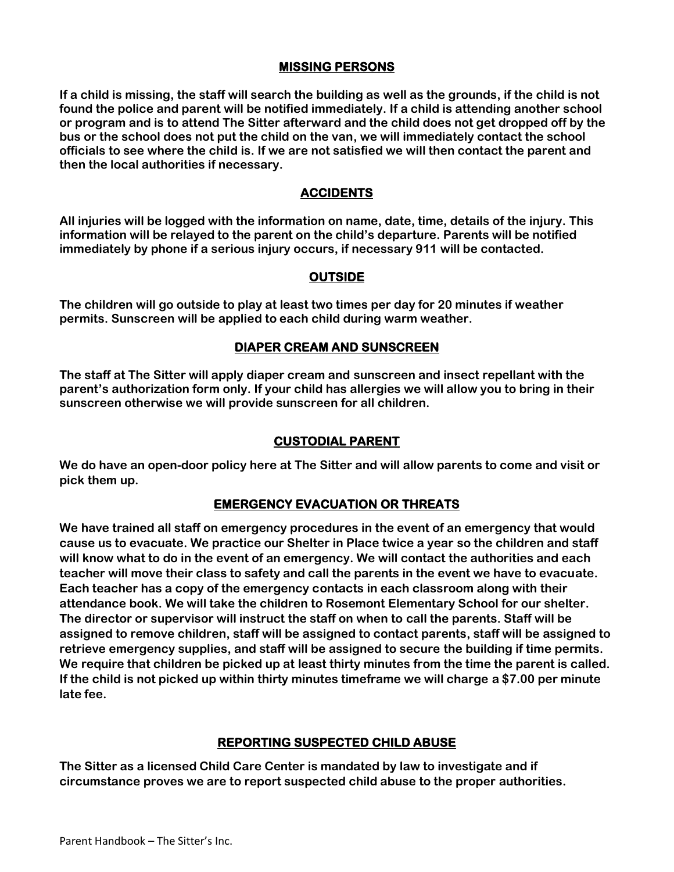#### **MISSING PERSONS**

**If a child is missing, the staff will search the building as well as the grounds, if the child is not found the police and parent will be notified immediately. If a child is attending another school or program and is to attend The Sitter afterward and the child does not get dropped off by the bus or the school does not put the child on the van, we will immediately contact the school officials to see where the child is. If we are not satisfied we will then contact the parent and then the local authorities if necessary.**

## **ACCIDENTS**

**All injuries will be logged with the information on name, date, time, details of the injury. This information will be relayed to the parent on the child's departure. Parents will be notified immediately by phone if a serious injury occurs, if necessary 911 will be contacted.**

#### **OUTSIDE**

**The children will go outside to play at least two times per day for 20 minutes if weather permits. Sunscreen will be applied to each child during warm weather.**

#### **DIAPER CREAM AND SUNSCREEN**

**The staff at The Sitter will apply diaper cream and sunscreen and insect repellant with the parent's authorization form only. If your child has allergies we will allow you to bring in their sunscreen otherwise we will provide sunscreen for all children.**

## **CUSTODIAL PARENT**

**We do have an open-door policy here at The Sitter and will allow parents to come and visit or pick them up.**

## **EMERGENCY EVACUATION OR THREATS**

**We have trained all staff on emergency procedures in the event of an emergency that would cause us to evacuate. We practice our Shelter in Place twice a year so the children and staff will know what to do in the event of an emergency. We will contact the authorities and each teacher will move their class to safety and call the parents in the event we have to evacuate. Each teacher has a copy of the emergency contacts in each classroom along with their attendance book. We will take the children to Rosemont Elementary School for our shelter. The director or supervisor will instruct the staff on when to call the parents. Staff will be assigned to remove children, staff will be assigned to contact parents, staff will be assigned to retrieve emergency supplies, and staff will be assigned to secure the building if time permits. We require that children be picked up at least thirty minutes from the time the parent is called. If the child is not picked up within thirty minutes timeframe we will charge a \$7.00 per minute late fee.**

#### **REPORTING SUSPECTED CHILD ABUSE**

**The Sitter as a licensed Child Care Center is mandated by law to investigate and if circumstance proves we are to report suspected child abuse to the proper authorities.**